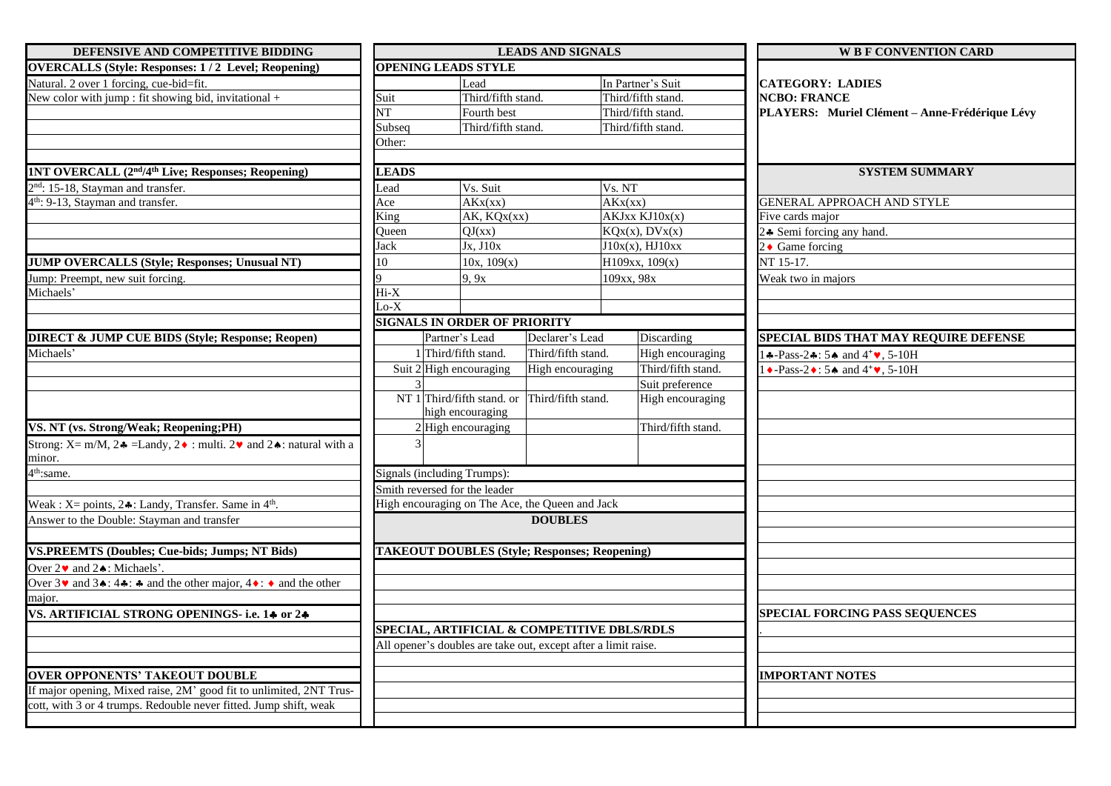| DEFENSIVE AND COMPETITIVE BIDDING                                                                                            | <b>LEADS AND SIGNALS</b>                                          |                    |                                                                |                      | <b>W B F CONVENTION CARD</b>                                                                     |
|------------------------------------------------------------------------------------------------------------------------------|-------------------------------------------------------------------|--------------------|----------------------------------------------------------------|----------------------|--------------------------------------------------------------------------------------------------|
| <b>OVERCALLS (Style: Responses: 1/2 Level; Reopening)</b>                                                                    | <b>OPENING LEADS STYLE</b>                                        |                    |                                                                |                      |                                                                                                  |
| Natural. 2 over 1 forcing, cue-bid=fit.                                                                                      |                                                                   | Lead               |                                                                | In Partner's Suit    | <b>CATEGORY: LADIES</b>                                                                          |
| New color with jump : fit showing bid, invitational $+$                                                                      | Suit                                                              | Third/fifth stand. |                                                                | Third/fifth stand.   | <b>NCBO: FRANCE</b>                                                                              |
|                                                                                                                              | NT                                                                | Fourth best        |                                                                | Third/fifth stand.   | PLAYERS: Muriel Clément - Anne-Frédérique Lévy                                                   |
|                                                                                                                              | Subseq                                                            | Third/fifth stand. |                                                                | Third/fifth stand.   |                                                                                                  |
|                                                                                                                              | Other:                                                            |                    |                                                                |                      |                                                                                                  |
| <b>1NT OVERCALL (2<sup>nd</sup>/4<sup>th</sup> Live; Responses; Reopening)</b>                                               | <b>LEADS</b>                                                      |                    |                                                                |                      | <b>SYSTEM SUMMARY</b>                                                                            |
| 2 <sup>nd</sup> : 15-18, Stayman and transfer.                                                                               | Lead                                                              | Vs. Suit           |                                                                | Vs. NT               |                                                                                                  |
| 4 <sup>th</sup> : 9-13, Stayman and transfer.                                                                                | Ace                                                               | AKx(xx)            |                                                                | AKx(xx)              | GENERAL APPROACH AND STYLE                                                                       |
|                                                                                                                              | King                                                              | AK, KQx(xx)        |                                                                | AKJxx KJ10x(x)       | Five cards major                                                                                 |
|                                                                                                                              | Oueen                                                             | QJ(xx)             |                                                                | KQx(x), DVx(x)       | 24 Semi forcing any hand.                                                                        |
|                                                                                                                              | Jack                                                              | Jx, J10x           |                                                                | $J10x(x)$ , $HJ10xx$ | 2 $\bullet$ Game forcing                                                                         |
| <b>JUMP OVERCALLS (Style; Responses; Unusual NT)</b>                                                                         | 10                                                                | 10x, 109(x)        |                                                                | H109xx, 109(x)       | NT 15-17.                                                                                        |
| Jump: Preempt, new suit forcing.                                                                                             |                                                                   | 9, 9x              |                                                                | 109xx, 98x           | Weak two in majors                                                                               |
| Michaels'                                                                                                                    | $Hi-X$                                                            |                    |                                                                |                      |                                                                                                  |
|                                                                                                                              | $Lo-X$                                                            |                    |                                                                |                      |                                                                                                  |
|                                                                                                                              | <b>SIGNALS IN ORDER OF PRIORITY</b>                               |                    |                                                                |                      |                                                                                                  |
| <b>DIRECT &amp; JUMP CUE BIDS (Style; Response; Reopen)</b>                                                                  | Partner's Lead                                                    |                    | Declarer's Lead                                                | Discarding           | SPECIAL BIDS THAT MAY REQUIRE DEFENSE                                                            |
| Michaels'                                                                                                                    | 1 Third/fifth stand.                                              |                    | Third/fifth stand.                                             | High encouraging     | $\clubsuit$ -Pass-2 $\clubsuit$ : 5 $\spadesuit$ and 4 <sup>+</sup> $\blacktriangledown$ , 5-10H |
|                                                                                                                              | Suit 2 High encouraging                                           |                    | High encouraging                                               | Third/fifth stand.   | $\rightarrow$ -Pass-2 $\rightarrow$ : 5 $\rightarrow$ and 4 <sup>+</sup> $\rightarrow$ , 5-10H   |
|                                                                                                                              |                                                                   |                    |                                                                | Suit preference      |                                                                                                  |
|                                                                                                                              | NT 1 Third/fifth stand. or Third/fifth stand.<br>high encouraging |                    |                                                                | High encouraging     |                                                                                                  |
| VS. NT (vs. Strong/Weak; Reopening;PH)                                                                                       | 2 High encouraging                                                |                    |                                                                | Third/fifth stand.   |                                                                                                  |
| Strong: X= m/M, 2 $\triangle$ = Landy, 2 $\triangle$ : multi. 2 $\triangledown$ and 2 $\triangle$ : natural with a<br>minor. |                                                                   |                    |                                                                |                      |                                                                                                  |
| 4 <sup>th</sup> :same.                                                                                                       | <b>Signals (including Trumps):</b>                                |                    |                                                                |                      |                                                                                                  |
|                                                                                                                              | Smith reversed for the leader                                     |                    |                                                                |                      |                                                                                                  |
| Weak : $X =$ points, $2 \cdot 1$ : Landy, Transfer. Same in $4th$ .                                                          |                                                                   |                    | High encouraging on The Ace, the Queen and Jack                |                      |                                                                                                  |
| Answer to the Double: Stavman and transfer                                                                                   |                                                                   |                    | <b>DOUBLES</b>                                                 |                      |                                                                                                  |
|                                                                                                                              |                                                                   |                    |                                                                |                      |                                                                                                  |
| <b>VS.PREEMTS (Doubles; Cue-bids; Jumps; NT Bids)</b>                                                                        |                                                                   |                    | <b>TAKEOUT DOUBLES (Style; Responses; Reopening)</b>           |                      |                                                                                                  |
| Over $2\blacktriangleright$ and $2\blacklozenge$ : Michaels'.                                                                |                                                                   |                    |                                                                |                      |                                                                                                  |
| Over $3\vee$ and $3\triangle$ : $4\triangleq$ : $\triangleq$ and the other major, $4\triangleq$ : $\triangleq$ and the other |                                                                   |                    |                                                                |                      |                                                                                                  |
| major.                                                                                                                       |                                                                   |                    |                                                                |                      |                                                                                                  |
| VS. ARTIFICIAL STRONG OPENINGS- i.e. 14 or 24                                                                                |                                                                   |                    |                                                                |                      | SPECIAL FORCING PASS SEQUENCES                                                                   |
|                                                                                                                              |                                                                   |                    | SPECIAL, ARTIFICIAL & COMPETITIVE DBLS/RDLS                    |                      |                                                                                                  |
|                                                                                                                              |                                                                   |                    | All opener's doubles are take out, except after a limit raise. |                      |                                                                                                  |
|                                                                                                                              |                                                                   |                    |                                                                |                      |                                                                                                  |
| <b>OVER OPPONENTS' TAKEOUT DOUBLE</b>                                                                                        |                                                                   |                    |                                                                |                      | <b>IMPORTANT NOTES</b>                                                                           |
| If major opening, Mixed raise, 2M' good fit to unlimited, 2NT Trus-                                                          |                                                                   |                    |                                                                |                      |                                                                                                  |
| cott, with 3 or 4 trumps. Redouble never fitted. Jump shift, weak                                                            |                                                                   |                    |                                                                |                      |                                                                                                  |
|                                                                                                                              |                                                                   |                    |                                                                |                      |                                                                                                  |